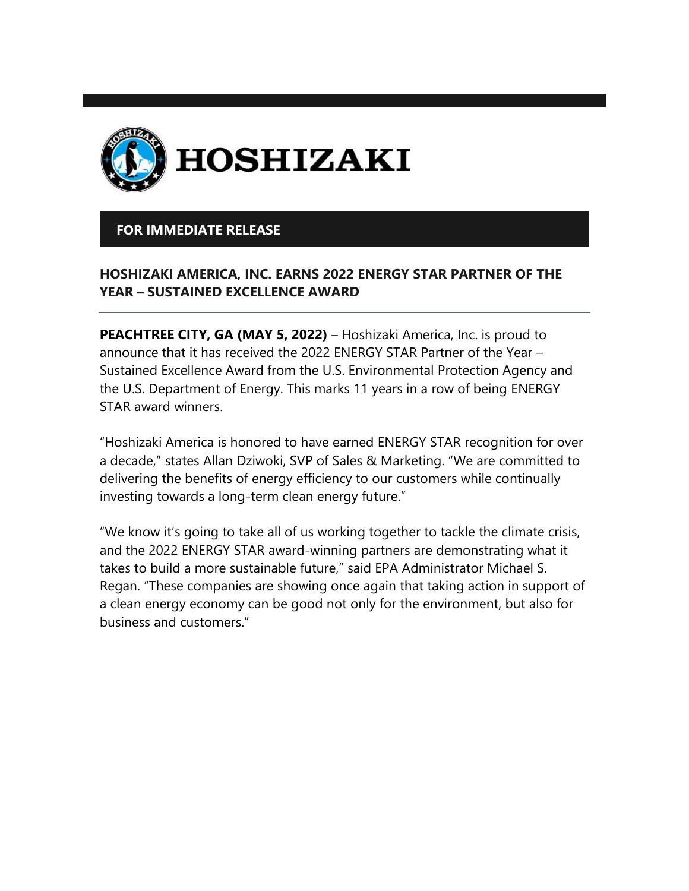

## **FOR IMMEDIATE RELEASE**

## **HOSHIZAKI AMERICA, INC. EARNS 2022 ENERGY STAR PARTNER OF THE YEAR – SUSTAINED EXCELLENCE AWARD**

**PEACHTREE CITY, GA (MAY 5, 2022)** – Hoshizaki America, Inc. is proud to announce that it has received the 2022 ENERGY STAR Partner of the Year – Sustained Excellence Award from the U.S. Environmental Protection Agency and the U.S. Department of Energy. This marks 11 years in a row of being ENERGY STAR award winners.

"Hoshizaki America is honored to have earned ENERGY STAR recognition for over a decade," states Allan Dziwoki, SVP of Sales & Marketing. "We are committed to delivering the benefits of energy efficiency to our customers while continually investing towards a long-term clean energy future."

"We know it's going to take all of us working together to tackle the climate crisis, and the 2022 ENERGY STAR award-winning partners are demonstrating what it takes to build a more sustainable future," said EPA Administrator Michael S. Regan. "These companies are showing once again that taking action in support of a clean energy economy can be good not only for the environment, but also for business and customers."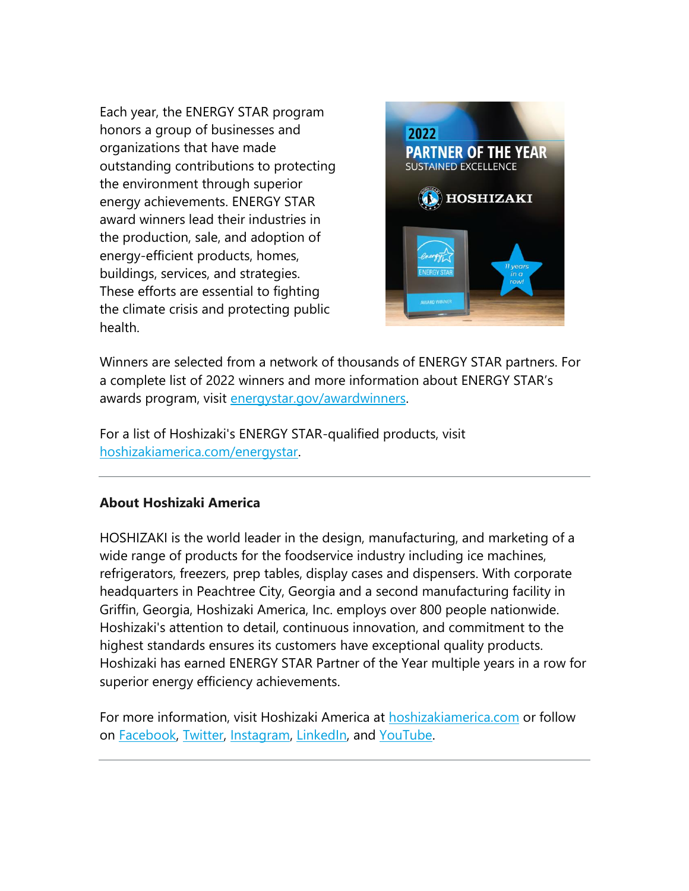Each year, the ENERGY STAR program honors a group of businesses and organizations that have made outstanding contributions to protecting the environment through superior energy achievements. ENERGY STAR award winners lead their industries in the production, sale, and adoption of energy-efficient products, homes, buildings, services, and strategies. These efforts are essential to fighting the climate crisis and protecting public health.



Winners are selected from a network of thousands of ENERGY STAR partners. For a complete list of 2022 winners and more information about ENERGY STAR's awards program, visit [energystar.gov/awardwinners.](https://r20.rs6.net/tn.jsp?f=001KGoywyNIM8t0ANgfJpYFJPZtIemGbz8Od3kcY9BRhO2ORYFyO5Y2ZNC0SGO5Og-DJLmHUyFgMPHsPdM1hbOH1f0wFLPFYYJ-gGD5Ob2rAtVYDc36MCqkNI9mVDO0hm5-m-hIvM3tsdo92KbSyQWRYxSTrc4_mCb3&c=j59ZzKJDOc5YlM9c0bBdtid_wpVT8xpQFumKEl9R4HP9XGBHOxXUcA==&ch=1oi6x_lOpmLIT9-_EOOWJ9b8VDsXelPtyBJEb8xZjq0PavXkW22L6Q==)

For a list of Hoshizaki's ENERGY STAR-qualified products, visit [hoshizakiamerica.com/energystar.](https://r20.rs6.net/tn.jsp?f=001KGoywyNIM8t0ANgfJpYFJPZtIemGbz8Od3kcY9BRhO2ORYFyO5Y2ZNC0SGO5Og-DUrQlKJuokwJ2QzZ680_aCxGgbVQEAkYgg-SOxYlSrjkpglLoxABaxwcTqmXhqYn39HwDLNDQyVp9QzJwq8Wzv51yedk84t-8FNOdGsR48Dw=&c=j59ZzKJDOc5YlM9c0bBdtid_wpVT8xpQFumKEl9R4HP9XGBHOxXUcA==&ch=1oi6x_lOpmLIT9-_EOOWJ9b8VDsXelPtyBJEb8xZjq0PavXkW22L6Q==)

## **About Hoshizaki America**

HOSHIZAKI is the world leader in the design, manufacturing, and marketing of a wide range of products for the foodservice industry including ice machines, refrigerators, freezers, prep tables, display cases and dispensers. With corporate headquarters in Peachtree City, Georgia and a second manufacturing facility in Griffin, Georgia, Hoshizaki America, Inc. employs over 800 people nationwide. Hoshizaki's attention to detail, continuous innovation, and commitment to the highest standards ensures its customers have exceptional quality products. Hoshizaki has earned ENERGY STAR Partner of the Year multiple years in a row for superior energy efficiency achievements.

For more information, visit Hoshizaki America at [hoshizakiamerica.com](https://r20.rs6.net/tn.jsp?f=001KGoywyNIM8t0ANgfJpYFJPZtIemGbz8Od3kcY9BRhO2ORYFyO5Y2ZBZUkoVYNMN9A7BS8r0RP-a7ANbEBLSQl-Zw3drJFFSiIbEFx92gfoLeZ7Ws-Di1Pr-CbdLUSdZ4cmFlCRe50GP1T0eHniJpHA==&c=j59ZzKJDOc5YlM9c0bBdtid_wpVT8xpQFumKEl9R4HP9XGBHOxXUcA==&ch=1oi6x_lOpmLIT9-_EOOWJ9b8VDsXelPtyBJEb8xZjq0PavXkW22L6Q==) or follow on [Facebook,](https://r20.rs6.net/tn.jsp?f=001KGoywyNIM8t0ANgfJpYFJPZtIemGbz8Od3kcY9BRhO2ORYFyO5Y2ZMJU459yOq-j0txkFJPcGzY8OgoevV-Ngl-86wM1uIo_7GdJnyPIEAB3fCFRGkF-Zt8l8mn_ztwOWDzW7yt5uAWP1JEVBDLtn20XK7SyXArlBbrhp3RqAk0=&c=j59ZzKJDOc5YlM9c0bBdtid_wpVT8xpQFumKEl9R4HP9XGBHOxXUcA==&ch=1oi6x_lOpmLIT9-_EOOWJ9b8VDsXelPtyBJEb8xZjq0PavXkW22L6Q==) [Twitter,](https://r20.rs6.net/tn.jsp?f=001KGoywyNIM8t0ANgfJpYFJPZtIemGbz8Od3kcY9BRhO2ORYFyO5Y2ZC7JH29_F3kgEm_E96EvA3KoHiIIvHb8LcobcIWDx6Z6yoaGQXNYs85anGC78bQ3kokMIhdoYvn4BqZyXPN4MKEJv_3lYsDtFpm1uBBhR2-U&c=j59ZzKJDOc5YlM9c0bBdtid_wpVT8xpQFumKEl9R4HP9XGBHOxXUcA==&ch=1oi6x_lOpmLIT9-_EOOWJ9b8VDsXelPtyBJEb8xZjq0PavXkW22L6Q==) [Instagram,](https://r20.rs6.net/tn.jsp?f=001KGoywyNIM8t0ANgfJpYFJPZtIemGbz8Od3kcY9BRhO2ORYFyO5Y2ZIBa6TVYsPQrWkriyAqENAX4Jk1BuGN27vdmms083q5SQUJ1ne3ZWy7atnzf7nJC2j0nKtL0-pi3a9kRvwoDh6iOY8JPyhdBHARBIfZMasxxxB910higZlE=&c=j59ZzKJDOc5YlM9c0bBdtid_wpVT8xpQFumKEl9R4HP9XGBHOxXUcA==&ch=1oi6x_lOpmLIT9-_EOOWJ9b8VDsXelPtyBJEb8xZjq0PavXkW22L6Q==) [LinkedIn,](https://r20.rs6.net/tn.jsp?f=001KGoywyNIM8t0ANgfJpYFJPZtIemGbz8Od3kcY9BRhO2ORYFyO5Y2ZOD0H3vqrLGmT03VMpuShttkcSD721zq5DAZWsv_ztHG0gvfxfK50Bu5GlQN__AUgmj1WstUX9dl7JG8VZFrVRyFzBAcEIBKxIU6TVtqIIAVvQwlVqSoevCiTjo98U-1U4mZ0M11Hp9F&c=j59ZzKJDOc5YlM9c0bBdtid_wpVT8xpQFumKEl9R4HP9XGBHOxXUcA==&ch=1oi6x_lOpmLIT9-_EOOWJ9b8VDsXelPtyBJEb8xZjq0PavXkW22L6Q==) and [YouTube.](https://r20.rs6.net/tn.jsp?f=001KGoywyNIM8t0ANgfJpYFJPZtIemGbz8Od3kcY9BRhO2ORYFyO5Y2ZG4GNR7HUKsNezpJ1jQIDnSU6M8TXQXotxZfwgiQAk90XcnphXFVdGsWgnzjbj8frTYlngRYsBSPh33I480aYjHe9sFz4RI1PIaZUwEWwPW0OgbuSWx2U20=&c=j59ZzKJDOc5YlM9c0bBdtid_wpVT8xpQFumKEl9R4HP9XGBHOxXUcA==&ch=1oi6x_lOpmLIT9-_EOOWJ9b8VDsXelPtyBJEb8xZjq0PavXkW22L6Q==)